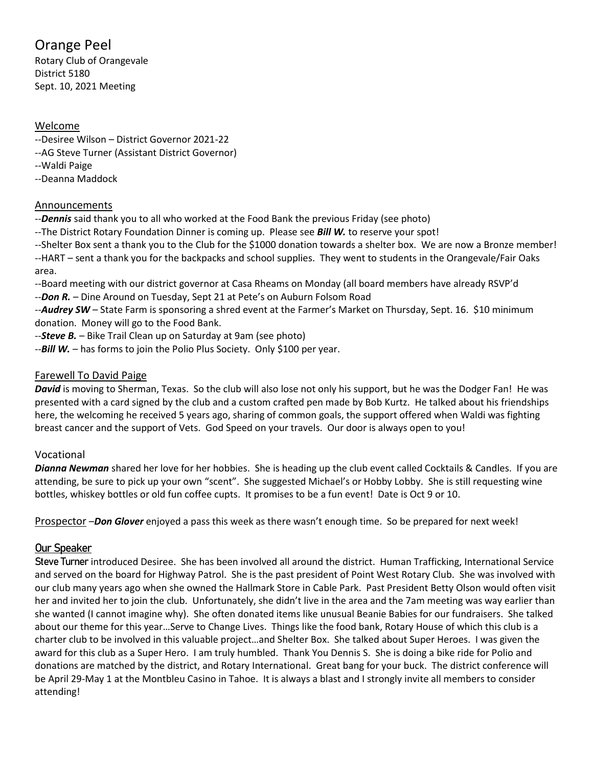# Orange Peel

Rotary Club of Orangevale District 5180 Sept. 10, 2021 Meeting

## Welcome

--Desiree Wilson – District Governor 2021-22

- --AG Steve Turner (Assistant District Governor)
- --Waldi Paige
- --Deanna Maddock

# Announcements

--*Dennis* said thank you to all who worked at the Food Bank the previous Friday (see photo)

--The District Rotary Foundation Dinner is coming up. Please see *Bill W.* to reserve your spot!

--Shelter Box sent a thank you to the Club for the \$1000 donation towards a shelter box. We are now a Bronze member! --HART – sent a thank you for the backpacks and school supplies. They went to students in the Orangevale/Fair Oaks area.

--Board meeting with our district governor at Casa Rheams on Monday (all board members have already RSVP'd --*Don R.* – Dine Around on Tuesday, Sept 21 at Pete's on Auburn Folsom Road

--*Audrey SW* – State Farm is sponsoring a shred event at the Farmer's Market on Thursday, Sept. 16. \$10 minimum donation. Money will go to the Food Bank.

--*Steve B.* – Bike Trail Clean up on Saturday at 9am (see photo)

--**Bill W.** – has forms to join the Polio Plus Society. Only \$100 per year.

# Farewell To David Paige

*David* is moving to Sherman, Texas. So the club will also lose not only his support, but he was the Dodger Fan! He was presented with a card signed by the club and a custom crafted pen made by Bob Kurtz. He talked about his friendships here, the welcoming he received 5 years ago, sharing of common goals, the support offered when Waldi was fighting breast cancer and the support of Vets. God Speed on your travels. Our door is always open to you!

## Vocational

*Dianna Newman* shared her love for her hobbies. She is heading up the club event called Cocktails & Candles. If you are attending, be sure to pick up your own "scent". She suggested Michael's or Hobby Lobby. She is still requesting wine bottles, whiskey bottles or old fun coffee cupts. It promises to be a fun event! Date is Oct 9 or 10.

Prospector –*Don Glover* enjoyed a pass this week as there wasn't enough time. So be prepared for next week!

# Our Speaker

Steve Turner introduced Desiree. She has been involved all around the district. Human Trafficking, International Service and served on the board for Highway Patrol. She is the past president of Point West Rotary Club. She was involved with our club many years ago when she owned the Hallmark Store in Cable Park. Past President Betty Olson would often visit her and invited her to join the club. Unfortunately, she didn't live in the area and the 7am meeting was way earlier than she wanted (I cannot imagine why). She often donated items like unusual Beanie Babies for our fundraisers. She talked about our theme for this year…Serve to Change Lives. Things like the food bank, Rotary House of which this club is a charter club to be involved in this valuable project…and Shelter Box. She talked about Super Heroes. I was given the award for this club as a Super Hero. I am truly humbled. Thank You Dennis S. She is doing a bike ride for Polio and donations are matched by the district, and Rotary International. Great bang for your buck. The district conference will be April 29-May 1 at the Montbleu Casino in Tahoe. It is always a blast and I strongly invite all members to consider attending!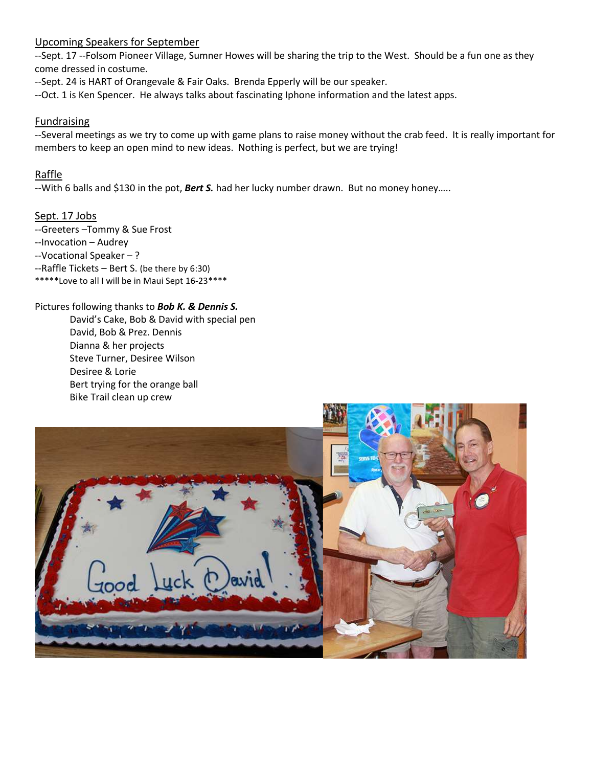## Upcoming Speakers for September

--Sept. 17 --Folsom Pioneer Village, Sumner Howes will be sharing the trip to the West. Should be a fun one as they come dressed in costume.

--Sept. 24 is HART of Orangevale & Fair Oaks. Brenda Epperly will be our speaker.

--Oct. 1 is Ken Spencer. He always talks about fascinating Iphone information and the latest apps.

#### Fundraising

--Several meetings as we try to come up with game plans to raise money without the crab feed. It is really important for members to keep an open mind to new ideas. Nothing is perfect, but we are trying!

### Raffle

--With 6 balls and \$130 in the pot, *Bert S.* had her lucky number drawn. But no money honey…..

#### Sept. 17 Jobs

--Greeters –Tommy & Sue Frost --Invocation – Audrey --Vocational Speaker – ? --Raffle Tickets – Bert S. (be there by 6:30) \*\*\*\*\*Love to all I will be in Maui Sept 16-23\*\*\*\*

#### Pictures following thanks to *Bob K. & Dennis S.*

David's Cake, Bob & David with special pen David, Bob & Prez. Dennis Dianna & her projects Steve Turner, Desiree Wilson Desiree & Lorie Bert trying for the orange ball Bike Trail clean up crew

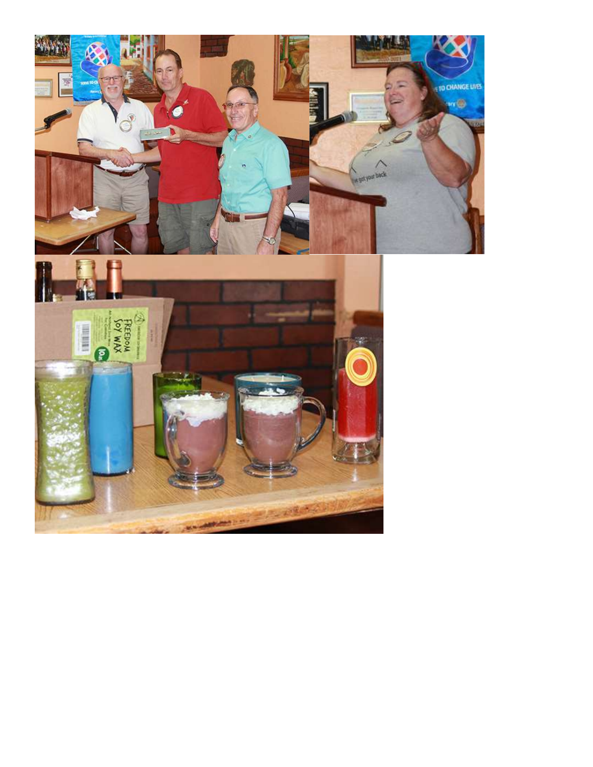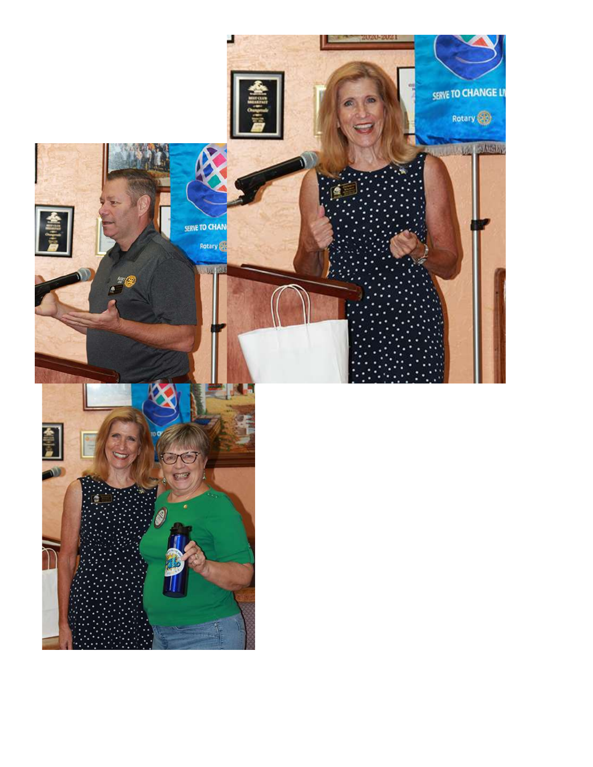